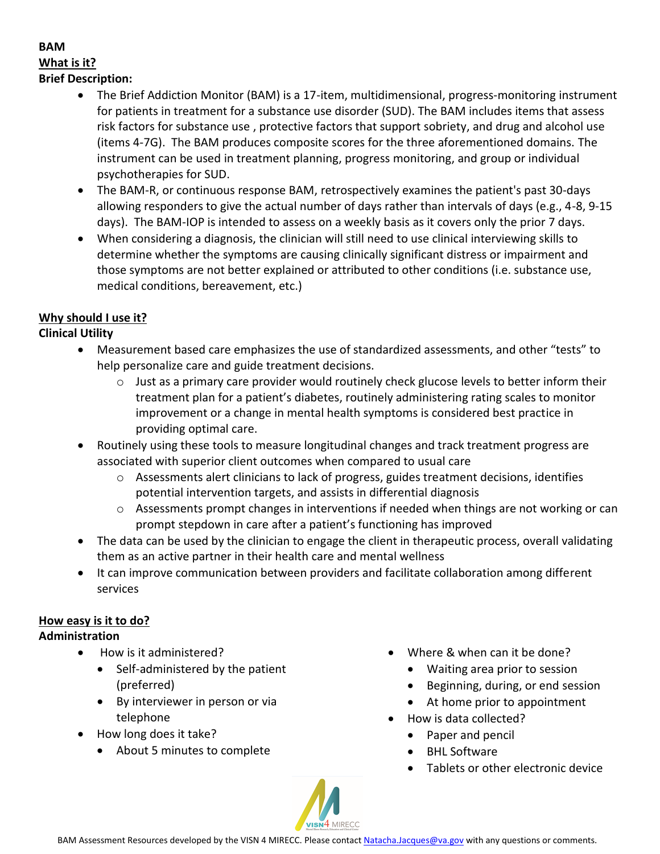## **BAM What is it? Brief Description:**

- The Brief Addiction Monitor (BAM) is a 17-item, multidimensional, progress-monitoring instrument for patients in treatment for a substance use disorder (SUD). The BAM includes items that assess risk factors for substance use , protective factors that support sobriety, and drug and alcohol use (items 4-7G). The BAM produces composite scores for the three aforementioned domains. The instrument can be used in treatment planning, progress monitoring, and group or individual psychotherapies for SUD.
- The BAM-R, or continuous response BAM, retrospectively examines the patient's past 30-days allowing responders to give the actual number of days rather than intervals of days (e.g., 4-8, 9-15 days). The BAM-IOP is intended to assess on a weekly basis as it covers only the prior 7 days.
- When considering a diagnosis, the clinician will still need to use clinical interviewing skills to determine whether the symptoms are causing clinically significant distress or impairment and those symptoms are not better explained or attributed to other conditions (i.e. substance use, medical conditions, bereavement, etc.)

## **Why should I use it?**

**Clinical Utility** 

- x Measurement based care emphasizes the use of standardized assessments, and other "tests" to help personalize care and guide treatment decisions.
	- $\circ$  Just as a primary care provider would routinely check glucose levels to better inform their treatment plan for a patient's diabetes, routinely administering rating scales to monitor improvement or a change in mental health symptoms is considered best practice in providing optimal care.
- x Routinely using these tools to measure longitudinal changes and track treatment progress are associated with superior client outcomes when compared to usual care
	- $\circ$  Assessments alert clinicians to lack of progress, guides treatment decisions, identifies potential intervention targets, and assists in differential diagnosis
	- $\circ$  Assessments prompt changes in interventions if needed when things are not working or can prompt stepdown in care after a patient's functioning has improved
- The data can be used by the clinician to engage the client in therapeutic process, overall validating them as an active partner in their health care and mental wellness
- It can improve communication between providers and facilitate collaboration among different services

## **How easy is it to do?**

## **Administration**

- How is it administered?
	- $\bullet$  Self-administered by the patient (preferred)
	- By interviewer in person or via telephone
- How long does it take?
	- About 5 minutes to complete
- Where & when can it be done?
	- Waiting area prior to session
	- Beginning, during, or end session
	- $\bullet$  At home prior to appointment
- How is data collected?
	- Paper and pencil
	- BHL Software
	- Tablets or other electronic device

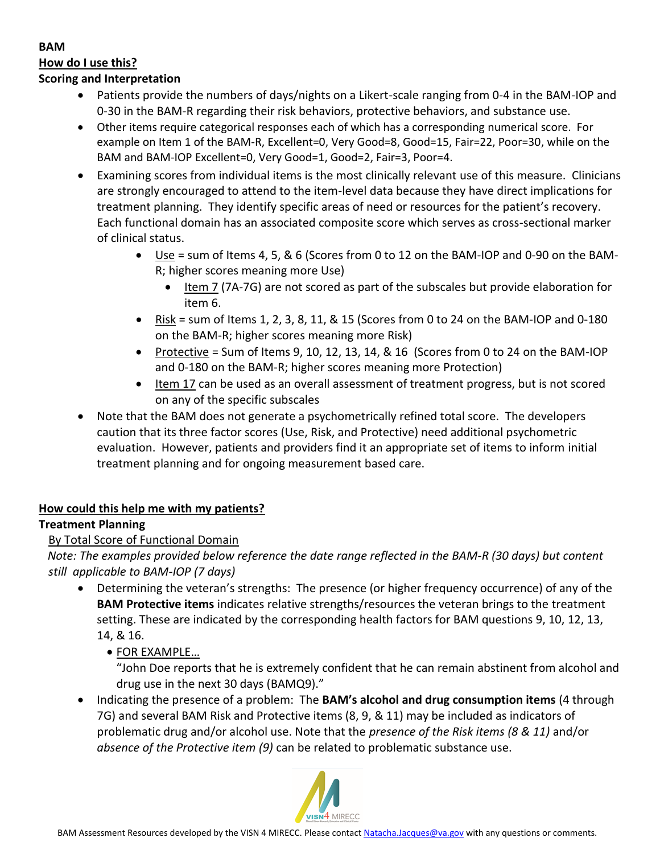### **BAM How do I use this? Scoring and Interpretation**

- Patients provide the numbers of days/nights on a Likert-scale ranging from 0-4 in the BAM-IOP and 0-30 in the BAM-R regarding their risk behaviors, protective behaviors, and substance use.
- Other items require categorical responses each of which has a corresponding numerical score. For example on Item 1 of the BAM-R, Excellent=0, Very Good=8, Good=15, Fair=22, Poor=30, while on the BAM and BAM-IOP Excellent=0, Very Good=1, Good=2, Fair=3, Poor=4.
- Examining scores from individual items is the most clinically relevant use of this measure. Clinicians are strongly encouraged to attend to the item-level data because they have direct implications for treatment planning. They identify specific areas of need or resources for the patient's recovery. Each functional domain has an associated composite score which serves as cross-sectional marker of clinical status.
	- Use = sum of Items 4, 5, & 6 (Scores from 0 to 12 on the BAM-IOP and 0-90 on the BAM-R; higher scores meaning more Use)
		- Item 7 (7A-7G) are not scored as part of the subscales but provide elaboration for item 6.
	- Risk = sum of Items 1, 2, 3, 8, 11, & 15 (Scores from 0 to 24 on the BAM-IOP and 0-180 on the BAM-R; higher scores meaning more Risk)
	- Protective = Sum of Items 9, 10, 12, 13, 14,  $\&$  16 (Scores from 0 to 24 on the BAM-IOP and 0-180 on the BAM-R; higher scores meaning more Protection)
	- **•** Item 17 can be used as an overall assessment of treatment progress, but is not scored on any of the specific subscales
- Note that the BAM does not generate a psychometrically refined total score. The developers caution that its three factor scores (Use, Risk, and Protective) need additional psychometric evaluation. However, patients and providers find it an appropriate set of items to inform initial treatment planning and for ongoing measurement based care.

# **How could this help me with my patients?**

# **Treatment Planning**

# By Total Score of Functional Domain

*Note: The examples provided below reference the date range reflected in the BAM-R (30 days) but content still applicable to BAM-IOP (7 days)* 

- Determining the veteran's strengths: The presence (or higher frequency occurrence) of any of the **BAM Protective items** indicates relative strengths/resources the veteran brings to the treatment setting. These are indicated by the corresponding health factors for BAM questions 9, 10, 12, 13, 14, & 16.
	- FOR EXAMPLE...

"John Doe reports that he is extremely confident that he can remain abstinent from alcohol and drug use in the next 30 days (BAMQ9)."

x Indicating the presence of a problem: The **BAM's alcohol and drug consumption items** (4 through 7G) and several BAM Risk and Protective items (8, 9, & 11) may be included as indicators of problematic drug and/or alcohol use. Note that the *presence of the Risk items (8 & 11)* and/or *absence of the Protective item (9)* can be related to problematic substance use.

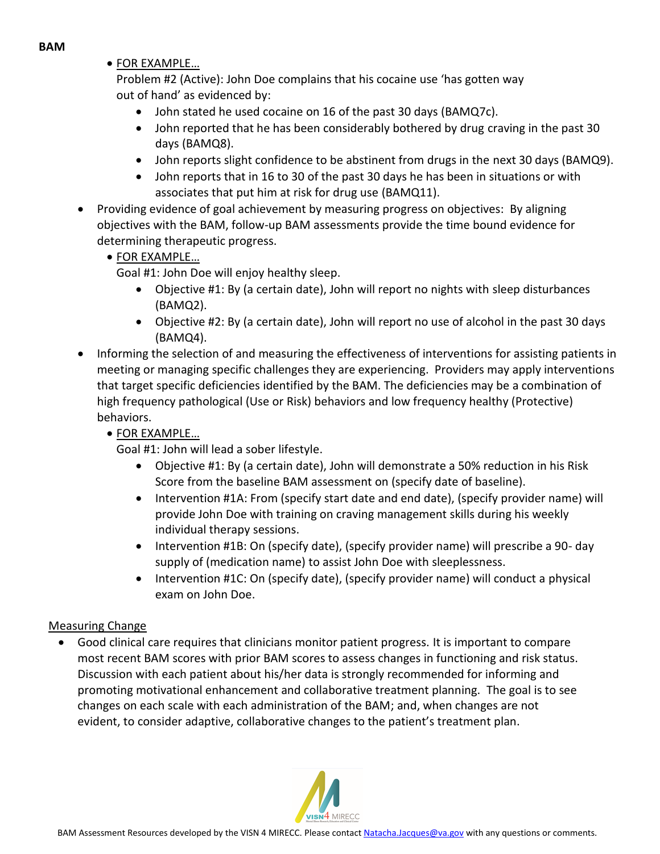• FOR EXAMPLE...

Problem #2 (Active): John Doe complains that his cocaine use 'has gotten way out of hand' as evidenced by:

- John stated he used cocaine on 16 of the past 30 days (BAMQ7c).
- $\bullet$  John reported that he has been considerably bothered by drug craving in the past 30 days (BAMQ8).
- John reports slight confidence to be abstinent from drugs in the next 30 days (BAMQ9).
- John reports that in 16 to 30 of the past 30 days he has been in situations or with associates that put him at risk for drug use (BAMQ11).
- Providing evidence of goal achievement by measuring progress on objectives: By aligning objectives with the BAM, follow-up BAM assessments provide the time bound evidence for determining therapeutic progress.
	- **FOR EXAMPLE...**

Goal #1: John Doe will enjoy healthy sleep.

- Objective #1: By (a certain date), John will report no nights with sleep disturbances (BAMQ2).
- Objective #2: By (a certain date), John will report no use of alcohol in the past 30 days (BAMQ4).
- Informing the selection of and measuring the effectiveness of interventions for assisting patients in meeting or managing specific challenges they are experiencing. Providers may apply interventions that target specific deficiencies identified by the BAM. The deficiencies may be a combination of high frequency pathological (Use or Risk) behaviors and low frequency healthy (Protective) behaviors.
	- **FOR EXAMPLE...**

Goal #1: John will lead a sober lifestyle.

- Objective #1: By (a certain date), John will demonstrate a 50% reduction in his Risk Score from the baseline BAM assessment on (specify date of baseline).
- Intervention #1A: From (specify start date and end date), (specify provider name) will provide John Doe with training on craving management skills during his weekly individual therapy sessions.
- Intervention #1B: On (specify date), (specify provider name) will prescribe a 90- day supply of (medication name) to assist John Doe with sleeplessness.
- Intervention #1C: On (specify date), (specify provider name) will conduct a physical exam on John Doe.

## Measuring Change

 $\bullet$ Good clinical care requires that clinicians monitor patient progress. It is important to compare most recent BAM scores with prior BAM scores to assess changes in functioning and risk status. Discussion with each patient about his/her data is strongly recommended for informing and promoting motivational enhancement and collaborative treatment planning. The goal is to see changes on each scale with each administration of the BAM; and, when changes are not evident, to consider adaptive, collaborative changes to the patient's treatment plan.

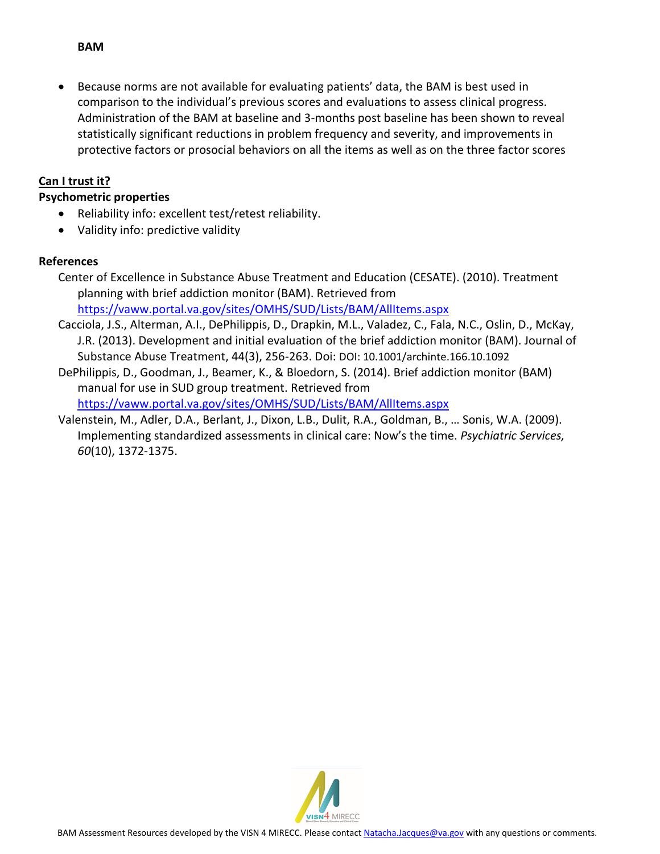### **BAM**

Because norms are not available for evaluating patients' data, the BAM is best used in comparison to the individual's previous scores and evaluations to assess clinical progress. Administration of the BAM at baseline and 3-months post baseline has been shown to reveal statistically significant reductions in problem frequency and severity, and improvements in protective factors or prosocial behaviors on all the items as well as on the three factor scores

### **Can I trust it?**

### **Psychometric properties**

- Reliability info: excellent test/retest reliability.
- Validity info: predictive validity

### **References**

- Center of Excellence in Substance Abuse Treatment and Education (CESATE). (2010). Treatment planning with brief addiction monitor (BAM). Retrieved from [https://vaww.portal.va.gov/sites/OMHS/SUD/Lists/BAM/AllItems.aspx](https://www.portal.va.gov/sites/OMHS/SUD/Lists/BAM/AllItems.aspx)
- Cacciola, J.S., Alterman, A.I., DePhilippis, D., Drapkin, M.L., Valadez, C., Fala, N.C., Oslin, D., McKay, J.R. (2013). Development and initial evaluation of the brief addiction monitor (BAM). Journal of Substance Abuse Treatment, 44(3), 256-263. Doi: DOI: 10.1001/archinte.166.10.1092
- DePhilippis, D., Goodman, J., Beamer, K., & Bloedorn, S. (2014). Brief addiction monitor (BAM) manual for use in SUD group treatment. Retrieved from <https://vaww.portal.va.gov/sites/OMHS/SUD/Lists/BAM/AllItems.aspx>
- Valenstein, M., Adler, D.A., Berlant, J., Dixon, L.B., Dulit, R.A., Goldman, B., … Sonis, W.A. (2009). Implementing standardized assessments in clinical care: Now's the time. *Psychiatric Services, 60*(10), 1372-1375.

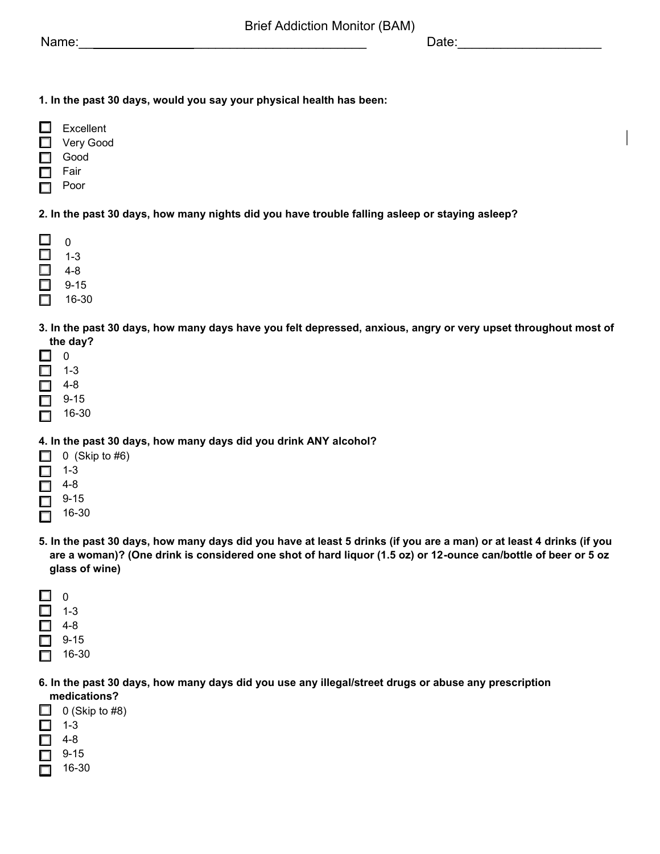**1. In the past 30 days, would you say your physical health has been:** 

- $\Box$ Excellent  $\Box$ Very Good Good Fair П
- Poor П

**2. In the past 30 days, how many nights did you have trouble falling asleep or staying asleep?** 

|   | 0     |
|---|-------|
|   | 1-3   |
|   | 4-8   |
| г | 9-15  |
|   | 16-30 |

- **3. In the past 30 days, how many days have you felt depressed, anxious, angry or very upset throughout most of the day?**
- □ 0
- 1-3 П
- $\Box$  4-8
- 9-15 п
- 16-30 П

#### **4. In the past 30 days, how many days did you drink ANY alcohol?**

- $\Box$  0 (Skip to #6)
- $\Box$  1-3
- 4-8 П
- 9-15  $\Box$
- 16-30 П
- **5. In the past 30 days, how many days did you have at least 5 drinks (if you are a man) or at least 4 drinks (if you are a woman)? (One drink is considered one shot of hard liquor (1.5 oz) or 12-ounce can/bottle of beer or 5 oz glass of wine)**
- $\Box$  0  $\Box$  1-3  $\Box$  4-8  $\Box$  9-15  $\Box$  16-30
- **6. In the past 30 days, how many days did you use any illegal/street drugs or abuse any prescription medications?**
- $\Box$  0 (Skip to #8)  $\Box$  1-3  $\Box$  4-8  $\Box$  9-15 16-30  $\Box$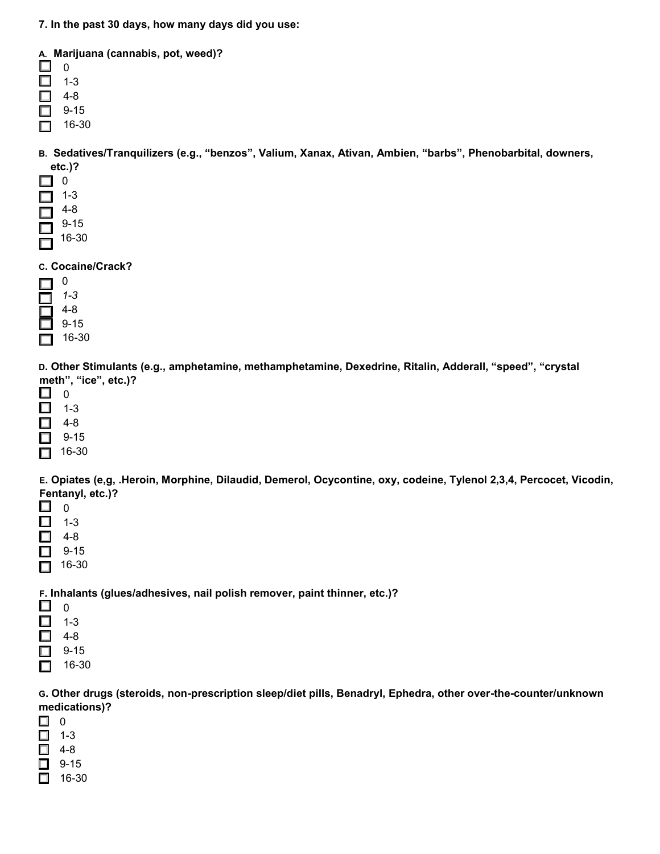**7. In the past 30 days, how many days did you use:** 

|         | A. Marijuana (cannabis, pot, weed)? |  |
|---------|-------------------------------------|--|
|         |                                     |  |
| $1 - 3$ |                                     |  |
| 4-8     |                                     |  |
| 9-15    |                                     |  |
| 16-30   |                                     |  |

**B. Sedatives/Tranquilizers (e.g., "benzos", Valium, Xanax, Ativan, Ambien, "barbs", Phenobarbital, downers, etc.)?** 

| . .                                                                                                                   | 0    |
|-----------------------------------------------------------------------------------------------------------------------|------|
| $\Box$                                                                                                                | 1-3  |
| <b>The Contract of the Contract of the Contract of the Contract of the Contract of the Contract of the Contract o</b> | 4-8  |
|                                                                                                                       | 9-15 |

- 16-30
- 
- **C. Cocaine/Crack?**

| 1-3   |
|-------|
| 4-8   |
| 9-15  |
| 16-30 |

**D. Other Stimulants (e.g., amphetamine, methamphetamine, Dexedrine, Ritalin, Adderall, "speed", "crystal meth", "ice", etc.)?**

- 4-8 □
- 9-15 □
- $\Box$  16-30

**E. Opiates (e,g, .Heroin, Morphine, Dilaudid, Demerol, Ocycontine, oxy, codeine, Tylenol 2,3,4, Percocet, Vicodin, Fentanyl, etc.)?** 

- 0  $\Box$ □ 1-3 П 4-8
- 9-15  $\Box$
- $\Box$  16-30

**F. Inhalants (glues/adhesives, nail polish remover, paint thinner, etc.)?** 

| L  |      |
|----|------|
| H  | 1-3  |
| П  | 4-8  |
| ⊓∃ | 9-15 |

16-30 П

**G. Other drugs (steroids, non-prescription sleep/diet pills, Benadryl, Ephedra, other over-the-counter/unknown medications)?** 

- $\Box$  0
- $\Box$  1-3  $\Box$  4-8
- $\Box$  9-15
- $\Box$  16-30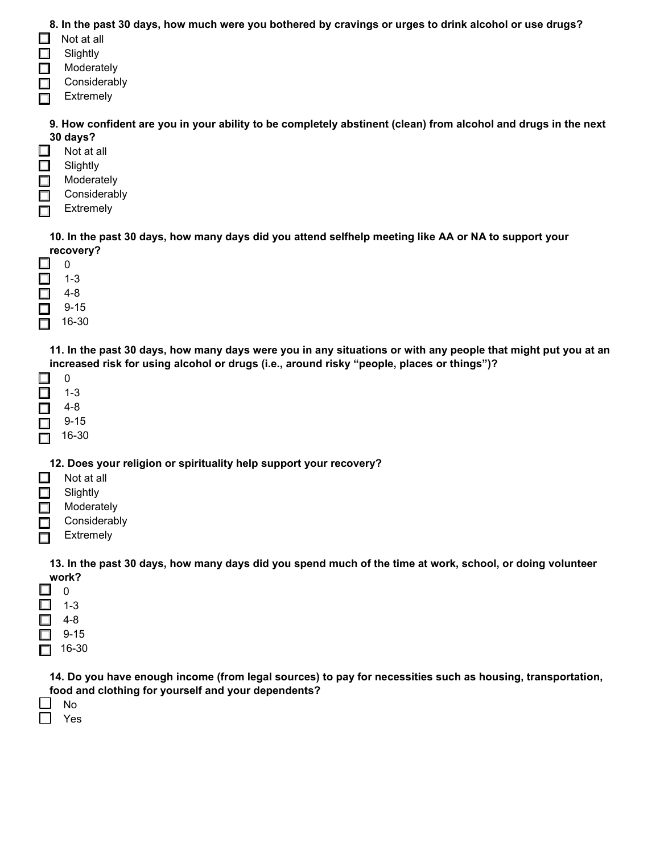#### **8. In the past 30 days, how much were you bothered by cravings or urges to drink alcohol or use drugs?**

- $\Box$ Not at all
- П **Slightly**
- **Moderately**
- Considerably
- Extremely П

#### **9. How confident are you in your ability to be completely abstinent (clean) from alcohol and drugs in the next 30 days?**

- □ Not at all
- **Slightly** □
- $\Box$ Moderately
- Considerably
- Extremely П

**10. In the past 30 days, how many days did you attend selfhelp meeting like AA or NA to support your recovery?** 

|   | O     |
|---|-------|
| г | 1-3   |
| Г | 4-8   |
| Г | 9-15  |
|   | 16-30 |

**11. In the past 30 days, how many days were you in any situations or with any people that might put you at an increased risk for using alcohol or drugs (i.e., around risky "people, places or things")?**

| . . | O     |
|-----|-------|
| H   | 1-3   |
| П   | 4-8   |
| П   | 9-15  |
| l I | 16-30 |

**12. Does your religion or spirituality help support your recovery?** 

- □ Not at all
- **Slightly** П
- **Moderately** П
- Considerably  $\Box$
- Extremely П

**13. In the past 30 days, how many days did you spend much of the time at work, school, or doing volunteer work?** 

|    | O     |
|----|-------|
| L. | 1-3   |
| П  | 4-8   |
|    | 9-15  |
|    | 16-30 |

**14. Do you have enough income (from legal sources) to pay for necessities such as housing, transportation, food and clothing for yourself and your dependents?** 

- No
- П Yes